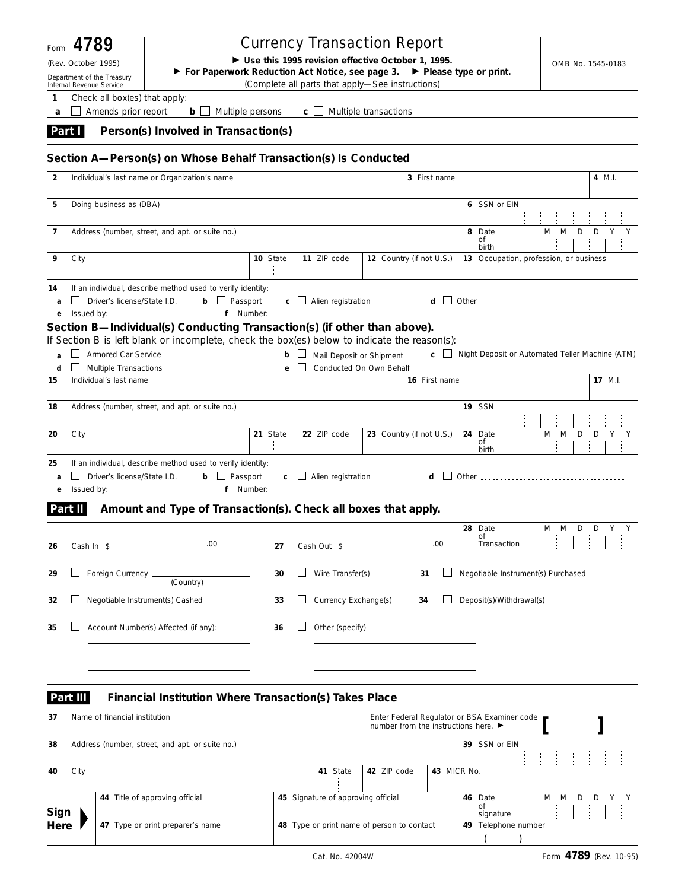| Form         | 4789                                                      |                                                                                              | <b>Currency Transaction Report</b>                  |    |                                        |                          |                                                                                      |                                             |                              |                                                                                                                |        |                   |                                                 |
|--------------|-----------------------------------------------------------|----------------------------------------------------------------------------------------------|-----------------------------------------------------|----|----------------------------------------|--------------------------|--------------------------------------------------------------------------------------|---------------------------------------------|------------------------------|----------------------------------------------------------------------------------------------------------------|--------|-------------------|-------------------------------------------------|
|              | (Rev. October 1995)<br>Department of the Treasury         | For Paperwork Reduction Act Notice, see page 3.                                              | ► Use this 1995 revision effective October 1, 1995. |    |                                        |                          |                                                                                      | $\blacktriangleright$ Please type or print. |                              |                                                                                                                |        | OMB No. 1545-0183 |                                                 |
| 1            | Internal Revenue Service<br>Check all box(es) that apply: |                                                                                              | (Complete all parts that apply-See instructions)    |    |                                        |                          |                                                                                      |                                             |                              |                                                                                                                |        |                   |                                                 |
| a            | Amends prior report                                       | b                                                                                            | Multiple persons                                    | C. |                                        | Multiple transactions    |                                                                                      |                                             |                              |                                                                                                                |        |                   |                                                 |
| Part I       |                                                           | Person(s) Involved in Transaction(s)                                                         |                                                     |    |                                        |                          |                                                                                      |                                             |                              |                                                                                                                |        |                   |                                                 |
|              |                                                           | Section A-Person(s) on Whose Behalf Transaction(s) Is Conducted                              |                                                     |    |                                        |                          |                                                                                      |                                             |                              |                                                                                                                |        |                   |                                                 |
| 2            |                                                           | Individual's last name or Organization's name                                                |                                                     |    |                                        |                          |                                                                                      | 3 First name                                |                              |                                                                                                                |        |                   | 4 M.I.                                          |
| 5            | Doing business as (DBA)                                   |                                                                                              |                                                     |    |                                        |                          |                                                                                      |                                             | 6 SSN or EIN                 |                                                                                                                |        |                   |                                                 |
| 7            |                                                           | Address (number, street, and apt. or suite no.)                                              |                                                     |    |                                        |                          |                                                                                      |                                             | 8 Date<br>οf<br>birth        | M                                                                                                              | M<br>D | D                 |                                                 |
| 9            | City                                                      |                                                                                              | 10 State                                            |    | 11 ZIP code                            | 12 Country (if not U.S.) |                                                                                      |                                             |                              | 13 Occupation, profession, or business                                                                         |        |                   |                                                 |
| 14<br>a<br>е | Driver's license/State I.D.<br>Issued by:                 | If an individual, describe method used to verify identity:<br>$\Box$ Passport<br>b           | f Number:                                           |    | $\mathbf{c}$ $\Box$ Alien registration |                          |                                                                                      | d                                           |                              | Other than the contract of the contract of the contract of the contract of the contract of the contract of the |        |                   |                                                 |
|              |                                                           | Section B-Individual(s) Conducting Transaction(s) (if other than above).                     |                                                     |    |                                        |                          |                                                                                      |                                             |                              |                                                                                                                |        |                   |                                                 |
|              |                                                           | If Section B is left blank or incomplete, check the box(es) below to indicate the reason(s): |                                                     |    |                                        |                          |                                                                                      |                                             |                              |                                                                                                                |        |                   |                                                 |
| a            | Armored Car Service                                       |                                                                                              | b                                                   |    | Mail Deposit or Shipment               |                          |                                                                                      | c.                                          |                              |                                                                                                                |        |                   | Night Deposit or Automated Teller Machine (ATM) |
| d<br>15      | Multiple Transactions<br>Individual's last name           |                                                                                              | e                                                   |    | Conducted On Own Behalf                |                          |                                                                                      | 16 First name                               |                              |                                                                                                                |        |                   | 17 M.I.                                         |
| 18           |                                                           | Address (number, street, and apt. or suite no.)                                              |                                                     |    |                                        |                          |                                                                                      |                                             | <b>19 SSN</b>                |                                                                                                                |        |                   |                                                 |
| 20           | City                                                      |                                                                                              | 21 State                                            |    | 22 ZIP code                            | 23 Country (if not U.S.) |                                                                                      |                                             | 24 Date<br>of<br>birth       | M                                                                                                              | M      | D<br>D            |                                                 |
| 25<br>a<br>е | Driver's license/State I.D.<br>Issued by:                 | If an individual, describe method used to verify identity:<br>$\Box$ Passport<br>b<br>f      | C.<br>Number:                                       |    | $\Box$ Alien registration              |                          |                                                                                      | d                                           |                              | Other than the contract of the contract of the contract of the contract of the contract of the contract of the |        |                   |                                                 |
| Part II      |                                                           | Amount and Type of Transaction(s). Check all boxes that apply.                               |                                                     |    |                                        |                          |                                                                                      |                                             |                              |                                                                                                                |        |                   |                                                 |
| 26           | Cash $\ln$ \$                                             | .00                                                                                          | 27                                                  |    | Cash Out \$_                           |                          |                                                                                      | .00                                         | 28 Date<br>Οľ<br>Transaction |                                                                                                                | M M D  | D                 | Y<br>Y                                          |
| 29           | Foreign Currency _                                        | (Country)                                                                                    | 30                                                  |    | Wire Transfer(s)                       |                          | 31                                                                                   |                                             |                              | Negotiable Instrument(s) Purchased                                                                             |        |                   |                                                 |
| 32           |                                                           | Negotiable Instrument(s) Cashed                                                              | 33                                                  |    | Currency Exchange(s)                   |                          | 34                                                                                   |                                             | Deposit(s)/Withdrawal(s)     |                                                                                                                |        |                   |                                                 |
| 35           |                                                           | Account Number(s) Affected (if any):                                                         | 36                                                  |    | Other (specify)                        |                          |                                                                                      |                                             |                              |                                                                                                                |        |                   |                                                 |
|              | Part III                                                  | Financial Institution Where Transaction(s) Takes Place                                       |                                                     |    |                                        |                          |                                                                                      |                                             |                              |                                                                                                                |        |                   |                                                 |
| 37           | Name of financial institution                             |                                                                                              |                                                     |    |                                        |                          | Enter Federal Regulator or BSA Examiner code<br>number from the instructions here. ▶ |                                             |                              |                                                                                                                |        |                   |                                                 |
| 38           |                                                           | Address (number, street, and apt. or suite no.)                                              |                                                     |    |                                        |                          |                                                                                      |                                             | 39 SSN or EIN                |                                                                                                                |        |                   |                                                 |

| City<br>40 |                                  |                                            | 41 State                           | 42 ZIP code | 43 MICR No.            |                         |  |   |   |        |   |  |
|------------|----------------------------------|--------------------------------------------|------------------------------------|-------------|------------------------|-------------------------|--|---|---|--------|---|--|
|            |                                  |                                            |                                    |             |                        |                         |  |   |   |        |   |  |
| Sign       | 44 Title of approving official   |                                            | 45 Signature of approving official |             |                        | Date<br>46<br>signature |  | M | M | $\Box$ | D |  |
| Here       | 47 Type or print preparer's name | 48 Type or print name of person to contact |                                    |             | Telephone number<br>49 |                         |  |   |   |        |   |  |
|            |                                  |                                            |                                    |             |                        |                         |  |   |   |        |   |  |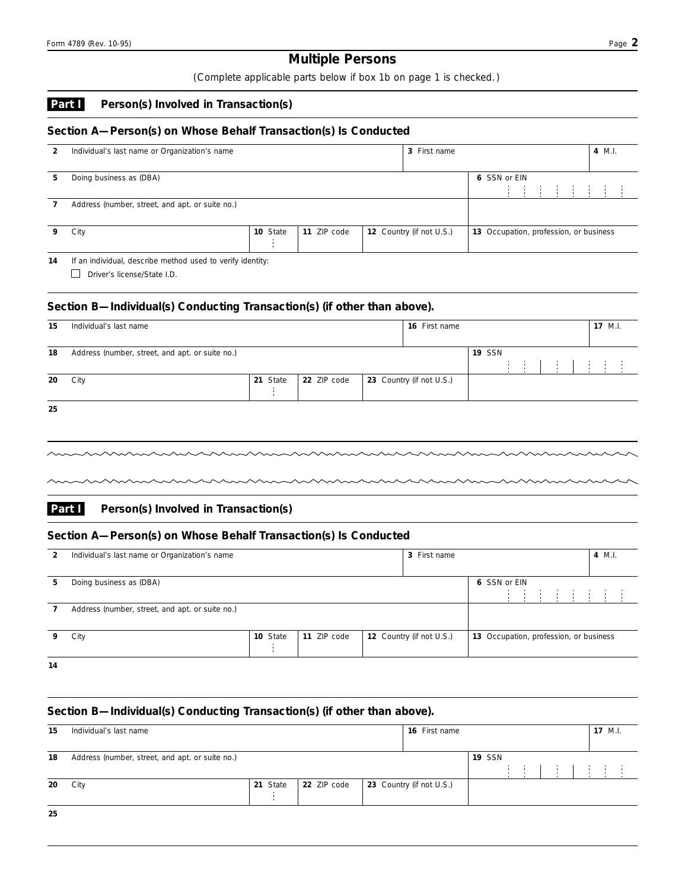# **Multiple Persons**

*( Complete applicable parts below if box 1b on page 1 is checked. )*

#### **Person(s) Involved in Transaction(s) Part I**

# **Section A—Person(s) on Whose Behalf Transaction(s) Is Conducted**

| 2 | Individual's last name or Organization's name   |          |             | 3 First name             |                                        |              |  |  |                                    |  | 4 M.I. |  |
|---|-------------------------------------------------|----------|-------------|--------------------------|----------------------------------------|--------------|--|--|------------------------------------|--|--------|--|
| 5 | Doing business as (DBA)                         |          |             |                          |                                        | 6 SSN or EIN |  |  | <b>End of the End of the State</b> |  |        |  |
|   | Address (number, street, and apt. or suite no.) |          |             |                          |                                        |              |  |  |                                    |  |        |  |
|   | City                                            | 10 State | 11 ZIP code | 12 Country (if not U.S.) | 13 Occupation, profession, or business |              |  |  |                                    |  |        |  |

Driver's license/State I.D. **14** If an individual, describe method used to verify identity:

# **Section B—Individual(s) Conducting Transaction(s) (if other than above).**

| 15 | Individual's last name                          |          |             | <b>16</b> First name     |               |                 |  |                      | 17 M.I. |  |
|----|-------------------------------------------------|----------|-------------|--------------------------|---------------|-----------------|--|----------------------|---------|--|
| 18 | Address (number, street, and apt. or suite no.) |          |             |                          | <b>19 SSN</b> |                 |  |                      |         |  |
| 20 | City                                            | 21 State | 22 ZIP code | 23 Country (if not U.S.) |               | and the control |  | and the state of the |         |  |
| 25 |                                                 |          |             |                          |               |                 |  |                      |         |  |

**25**

#### **Person(s) Involved in Transaction(s) Part I**

# **Section A—Person(s) on Whose Behalf Transaction(s) Is Conducted**

| 2   | Individual's last name or Organization's name<br>3 First name |  |  |  |  |  |              |                                        |  |  |  |  |  |  |  |  |
|-----|---------------------------------------------------------------|--|--|--|--|--|--------------|----------------------------------------|--|--|--|--|--|--|--|--|
| 5.  | Doing business as (DBA)                                       |  |  |  |  |  | 6 SSN or EIN |                                        |  |  |  |  |  |  |  |  |
|     | Address (number, street, and apt. or suite no.)               |  |  |  |  |  |              |                                        |  |  |  |  |  |  |  |  |
|     | 12 Country (if not U.S.)<br>11 ZIP code<br>10 State<br>City   |  |  |  |  |  |              | 13 Occupation, profession, or business |  |  |  |  |  |  |  |  |
| . . |                                                               |  |  |  |  |  |              |                                        |  |  |  |  |  |  |  |  |

**14**

# **Section B—Individual(s) Conducting Transaction(s) (if other than above).**

| 15 | Individual's last name                          |          |             | 16 First name            |               |  |  |  | $17$ M.I. |  |
|----|-------------------------------------------------|----------|-------------|--------------------------|---------------|--|--|--|-----------|--|
| 18 | Address (number, street, and apt. or suite no.) |          |             |                          | <b>19 SSN</b> |  |  |  |           |  |
| 20 | City                                            | 21 State | 22 ZIP code | 23 Country (if not U.S.) |               |  |  |  |           |  |
|    |                                                 |          |             |                          |               |  |  |  |           |  |
| 25 |                                                 |          |             |                          |               |  |  |  |           |  |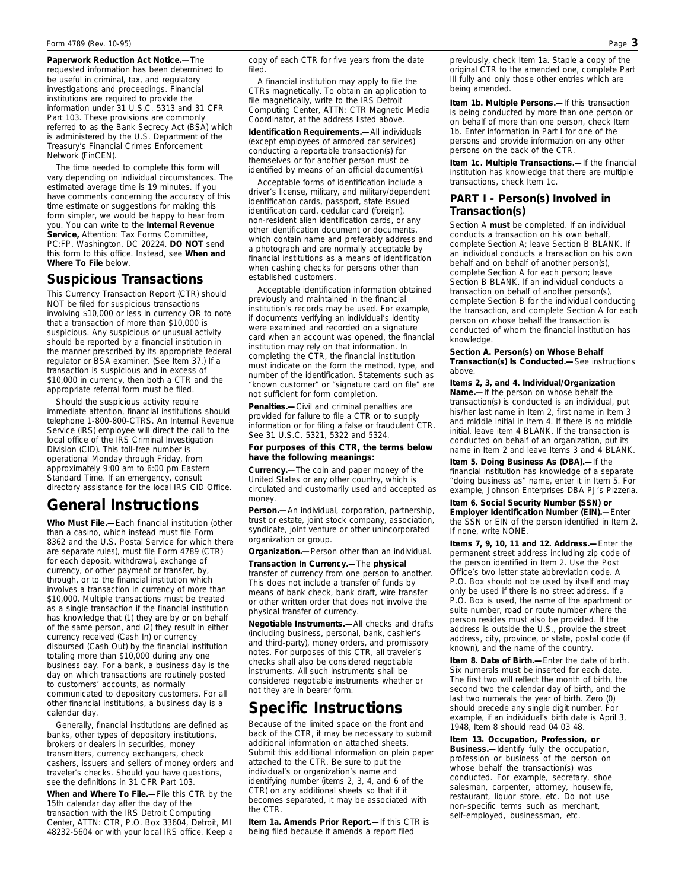**Paperwork Reduction Act Notice.—**The requested information has been determined to be useful in criminal, tax, and regulatory investigations and proceedings. Financial institutions are required to provide the information under 31 U.S.C. 5313 and 31 CFR Part 103. These provisions are commonly referred to as the Bank Secrecy Act (BSA) which is administered by the U.S. Department of the Treasury's Financial Crimes Enforcement Network (FinCEN).

The time needed to complete this form will vary depending on individual circumstances. The estimated average time is 19 minutes. If you have comments concerning the accuracy of this time estimate or suggestions for making this form simpler, we would be happy to hear from you. You can write to the **Internal Revenue Service,** Attention: Tax Forms Committee, PC:FP, Washington, DC 20224. **DO NOT** send this form to this office. Instead, see **When and Where To File** below.

# **Suspicious Transactions**

This Currency Transaction Report (CTR) should NOT be filed for suspicious transactions involving \$10,000 or less in currency OR to note that a transaction of more than \$10,000 is suspicious. Any suspicious or unusual activity should be reported by a financial institution in the manner prescribed by its appropriate federal regulator or BSA examiner. (See Item 37.) If a transaction is suspicious and in excess of \$10,000 in currency, then both a CTR and the appropriate referral form must be filed.

Should the suspicious activity require immediate attention, financial institutions should telephone 1-800-800-CTRS. An Internal Revenue Service (IRS) employee will direct the call to the local office of the IRS Criminal Investigation Division (CID). This toll-free number is operational Monday through Friday, from approximately 9:00 am to 6:00 pm Eastern Standard Time. If an emergency, consult directory assistance for the local IRS CID Office.

# **General Instructions**

**Who Must File.—**Each financial institution (other than a casino, which instead must file Form 8362 and the U.S. Postal Service for which there are separate rules), must file Form 4789 (CTR) for each deposit, withdrawal, exchange of currency, or other payment or transfer, by, through, or to the financial institution which involves a transaction in currency of more than \$10,000. Multiple transactions must be treated as a single transaction if the financial institution has knowledge that (1) they are by or on behalf of the same person, and (2) they result in either currency received (Cash In) or currency disbursed (Cash Out) by the financial institution totaling more than \$10,000 during any one business day. For a bank, a business day is the day on which transactions are routinely posted to customers' accounts, as normally communicated to depository customers. For all other financial institutions, a business day is a calendar day.

Generally, financial institutions are defined as banks, other types of depository institutions, brokers or dealers in securities, money transmitters, currency exchangers, check cashers, issuers and sellers of money orders and traveler's checks. Should you have questions, see the definitions in 31 CFR Part 103.

**When and Where To File.—**File this CTR by the 15th calendar day after the day of the transaction with the IRS Detroit Computing Center, ATTN: CTR, P.O. Box 33604, Detroit, MI 48232-5604 or with your local IRS office. Keep a copy of each CTR for five years from the date filed.

A financial institution may apply to file the CTRs magnetically. To obtain an application to file magnetically, write to the IRS Detroit Computing Center, ATTN: CTR Magnetic Media Coordinator, at the address listed above.

**Identification Requirements.—**All individuals (except employees of armored car services) conducting a reportable transaction(s) for themselves or for another person must be identified by means of an official document(s).

Acceptable forms of identification include a driver's license, military, and military/dependent identification cards, passport, state issued identification card, cedular card (foreign), non-resident alien identification cards, or any other identification document or documents, which contain name and preferably address and a photograph and are normally acceptable by financial institutions as a means of identification when cashing checks for persons other than established customers.

Acceptable identification information obtained previously and maintained in the financial institution's records may be used. For example, if documents verifying an individual's identity were examined and recorded on a signature card when an account was opened, the financial institution may rely on that information. In completing the CTR, the financial institution must indicate on the form the method, type, and number of the identification. Statements such as "known customer" or "signature card on file" are not sufficient for form completion.

**Penalties.—**Civil and criminal penalties are provided for failure to file a CTR or to supply information or for filing a false or fraudulent CTR. See 31 U.S.C. 5321, 5322 and 5324.

#### **For purposes of this CTR, the terms below have the following meanings:**

**Currency.—**The coin and paper money of the United States or any other country, which is circulated and customarily used and accepted as money.

**Person.—**An individual, corporation, partnership, trust or estate, joint stock company, association, syndicate, joint venture or other unincorporated organization or group.

**Organization.—**Person other than an individual.

**Transaction In Currency.—**The **physical** transfer of currency from one person to another. This does not include a transfer of funds by means of bank check, bank draft, wire transfer or other written order that does not involve the physical transfer of currency.

**Negotiable Instruments.—**All checks and drafts (including business, personal, bank, cashier's and third-party), money orders, and promissory notes. For purposes of this CTR, all traveler's checks shall also be considered negotiable instruments. All such instruments shall be considered negotiable instruments whether or not they are in bearer form.

# **Specific Instructions**

Because of the limited space on the front and back of the CTR, it may be necessary to submit additional information on attached sheets. Submit this additional information on plain paper attached to the CTR. Be sure to put the individual's or organization's name and identifying number (items 2, 3, 4, and 6 of the CTR) on any additional sheets so that if it becomes separated, it may be associated with the CTR.

**Item 1a. Amends Prior Report.—**If this CTR is being filed because it amends a report filed

previously, check Item 1a. Staple a copy of the original CTR to the amended one, complete Part III fully and only those other entries which are being amended.

**Item 1b. Multiple Persons.—**If this transaction is being conducted by more than one person or on behalf of more than one person, check Item 1b. Enter information in Part I for one of the persons and provide information on any other persons on the back of the CTR.

**Item 1c. Multiple Transactions.—**If the financial institution has knowledge that there are multiple transactions, check Item 1c.

# **PART I - Person(s) Involved in Transaction(s)**

Section A **must** be completed. If an individual conducts a transaction on his own behalf, complete Section A; leave Section B BLANK. If an individual conducts a transaction on his own behalf and on behalf of another person(s), complete Section A for each person; leave Section B BLANK. If an individual conducts a transaction on behalf of another person(s) complete Section B for the individual conducting the transaction, and complete Section A for each person on whose behalf the transaction is conducted of whom the financial institution has knowledge.

**Section A. Person(s) on Whose Behalf Transaction(s) Is Conducted.—**See instructions above.

**Items 2, 3, and 4. Individual/Organization Name.—**If the person on whose behalf the transaction(s) is conducted is an individual, put his/her last name in Item 2, first name in Item 3 and middle initial in Item 4. If there is no middle initial, leave item 4 BLANK. If the transaction is conducted on behalf of an organization, put its name in Item 2 and leave Items 3 and 4 BLANK.

**Item 5. Doing Business As (DBA).—**If the financial institution has knowledge of a separate "doing business as" name, enter it in Item 5. For example, Johnson Enterprises DBA PJ's Pizzeria.

**Item 6. Social Security Number (SSN) or Employer Identification Number (EIN).—**Enter the SSN or EIN of the person identified in Item 2. If none, write NONE.

**Items 7, 9, 10, 11 and 12. Address.—**Enter the permanent street address including zip code of the person identified in Item 2. Use the Post Office's two letter state abbreviation code. A P.O. Box should not be used by itself and may only be used if there is no street address. If a P.O. Box is used, the name of the apartment or suite number, road or route number where the person resides must also be provided. If the address is outside the U.S., provide the street address, city, province, or state, postal code (if known), and the name of the country.

**Item 8. Date of Birth.—**Enter the date of birth. Six numerals must be inserted for each date. The first two will reflect the month of birth, the second two the calendar day of birth, and the last two numerals the year of birth. Zero (0) should precede any single digit number. For example, if an individual's birth date is April 3, 1948, Item 8 should read 04 03 48.

**Item 13. Occupation, Profession, or Business.—**Identify fully the occupation, profession or business of the person on whose behalf the transaction(s) was conducted. For example, secretary, shoe salesman, carpenter, attorney, housewife, restaurant, liquor store, etc. Do not use non-specific terms such as merchant, self-employed, businessman, etc.